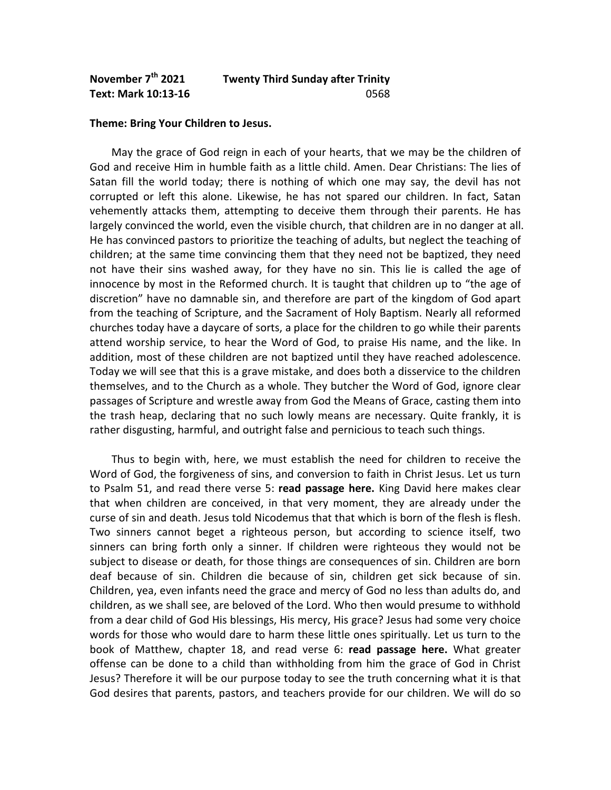## **November 7th 2021 Twenty Third Sunday after Trinity Text: Mark 10:13-16** 0568

## **Theme: Bring Your Children to Jesus.**

 May the grace of God reign in each of your hearts, that we may be the children of God and receive Him in humble faith as a little child. Amen. Dear Christians: The lies of Satan fill the world today; there is nothing of which one may say, the devil has not corrupted or left this alone. Likewise, he has not spared our children. In fact, Satan vehemently attacks them, attempting to deceive them through their parents. He has largely convinced the world, even the visible church, that children are in no danger at all. He has convinced pastors to prioritize the teaching of adults, but neglect the teaching of children; at the same time convincing them that they need not be baptized, they need not have their sins washed away, for they have no sin. This lie is called the age of innocence by most in the Reformed church. It is taught that children up to "the age of discretion" have no damnable sin, and therefore are part of the kingdom of God apart from the teaching of Scripture, and the Sacrament of Holy Baptism. Nearly all reformed churches today have a daycare of sorts, a place for the children to go while their parents attend worship service, to hear the Word of God, to praise His name, and the like. In addition, most of these children are not baptized until they have reached adolescence. Today we will see that this is a grave mistake, and does both a disservice to the children themselves, and to the Church as a whole. They butcher the Word of God, ignore clear passages of Scripture and wrestle away from God the Means of Grace, casting them into the trash heap, declaring that no such lowly means are necessary. Quite frankly, it is rather disgusting, harmful, and outright false and pernicious to teach such things.

 Thus to begin with, here, we must establish the need for children to receive the Word of God, the forgiveness of sins, and conversion to faith in Christ Jesus. Let us turn to Psalm 51, and read there verse 5: **read passage here.** King David here makes clear that when children are conceived, in that very moment, they are already under the curse of sin and death. Jesus told Nicodemus that that which is born of the flesh is flesh. Two sinners cannot beget a righteous person, but according to science itself, two sinners can bring forth only a sinner. If children were righteous they would not be subject to disease or death, for those things are consequences of sin. Children are born deaf because of sin. Children die because of sin, children get sick because of sin. Children, yea, even infants need the grace and mercy of God no less than adults do, and children, as we shall see, are beloved of the Lord. Who then would presume to withhold from a dear child of God His blessings, His mercy, His grace? Jesus had some very choice words for those who would dare to harm these little ones spiritually. Let us turn to the book of Matthew, chapter 18, and read verse 6: **read passage here.** What greater offense can be done to a child than withholding from him the grace of God in Christ Jesus? Therefore it will be our purpose today to see the truth concerning what it is that God desires that parents, pastors, and teachers provide for our children. We will do so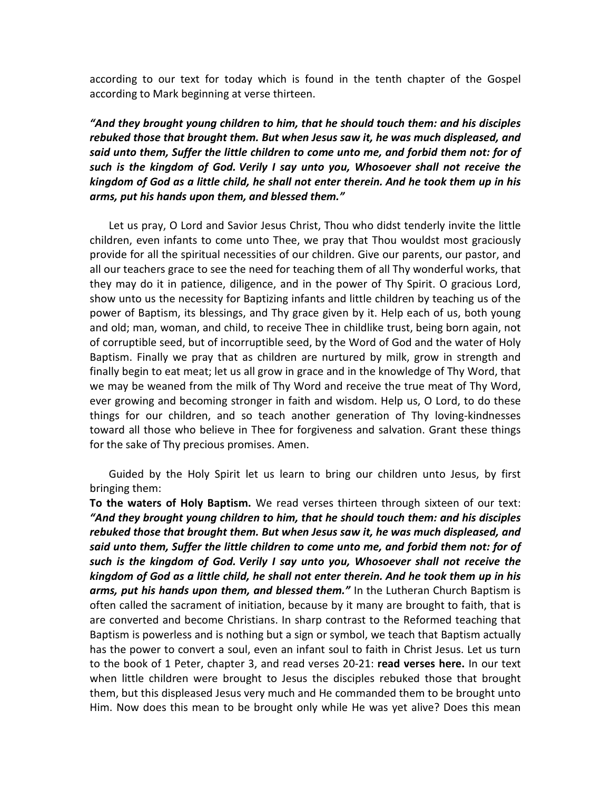according to our text for today which is found in the tenth chapter of the Gospel according to Mark beginning at verse thirteen.

## *"And they brought young children to him, that he should touch them: and his disciples rebuked those that brought them. But when Jesus saw it, he was much displeased, and said unto them, Suffer the little children to come unto me, and forbid them not: for of such is the kingdom of God. Verily I say unto you, Whosoever shall not receive the kingdom of God as a little child, he shall not enter therein. And he took them up in his arms, put his hands upon them, and blessed them."*

Let us pray, O Lord and Savior Jesus Christ, Thou who didst tenderly invite the little children, even infants to come unto Thee, we pray that Thou wouldst most graciously provide for all the spiritual necessities of our children. Give our parents, our pastor, and all our teachers grace to see the need for teaching them of all Thy wonderful works, that they may do it in patience, diligence, and in the power of Thy Spirit. O gracious Lord, show unto us the necessity for Baptizing infants and little children by teaching us of the power of Baptism, its blessings, and Thy grace given by it. Help each of us, both young and old; man, woman, and child, to receive Thee in childlike trust, being born again, not of corruptible seed, but of incorruptible seed, by the Word of God and the water of Holy Baptism. Finally we pray that as children are nurtured by milk, grow in strength and finally begin to eat meat; let us all grow in grace and in the knowledge of Thy Word, that we may be weaned from the milk of Thy Word and receive the true meat of Thy Word, ever growing and becoming stronger in faith and wisdom. Help us, O Lord, to do these things for our children, and so teach another generation of Thy loving-kindnesses toward all those who believe in Thee for forgiveness and salvation. Grant these things for the sake of Thy precious promises. Amen.

 Guided by the Holy Spirit let us learn to bring our children unto Jesus, by first bringing them:

**To the waters of Holy Baptism.** We read verses thirteen through sixteen of our text: *"And they brought young children to him, that he should touch them: and his disciples rebuked those that brought them. But when Jesus saw it, he was much displeased, and said unto them, Suffer the little children to come unto me, and forbid them not: for of such is the kingdom of God. Verily I say unto you, Whosoever shall not receive the kingdom of God as a little child, he shall not enter therein. And he took them up in his arms, put his hands upon them, and blessed them."* In the Lutheran Church Baptism is often called the sacrament of initiation, because by it many are brought to faith, that is are converted and become Christians. In sharp contrast to the Reformed teaching that Baptism is powerless and is nothing but a sign or symbol, we teach that Baptism actually has the power to convert a soul, even an infant soul to faith in Christ Jesus. Let us turn to the book of 1 Peter, chapter 3, and read verses 20-21: **read verses here.** In our text when little children were brought to Jesus the disciples rebuked those that brought them, but this displeased Jesus very much and He commanded them to be brought unto Him. Now does this mean to be brought only while He was yet alive? Does this mean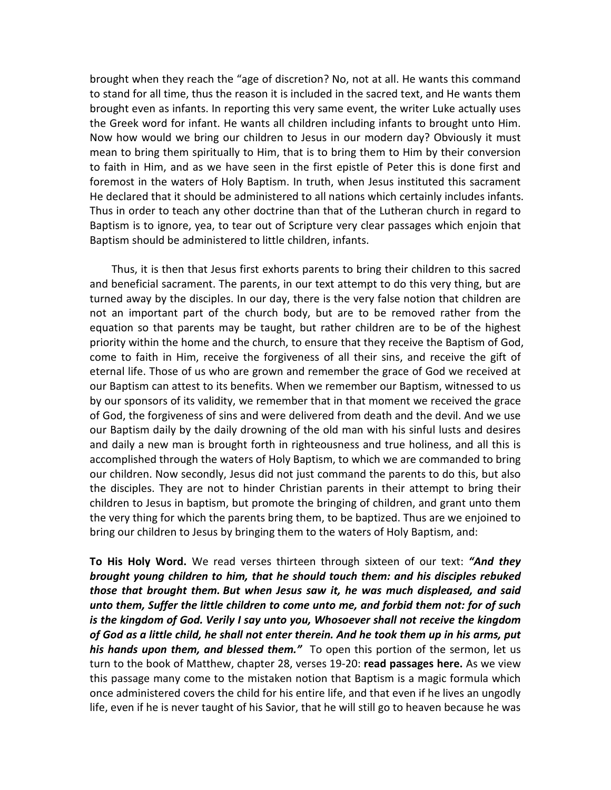brought when they reach the "age of discretion? No, not at all. He wants this command to stand for all time, thus the reason it is included in the sacred text, and He wants them brought even as infants. In reporting this very same event, the writer Luke actually uses the Greek word for infant. He wants all children including infants to brought unto Him. Now how would we bring our children to Jesus in our modern day? Obviously it must mean to bring them spiritually to Him, that is to bring them to Him by their conversion to faith in Him, and as we have seen in the first epistle of Peter this is done first and foremost in the waters of Holy Baptism. In truth, when Jesus instituted this sacrament He declared that it should be administered to all nations which certainly includes infants. Thus in order to teach any other doctrine than that of the Lutheran church in regard to Baptism is to ignore, yea, to tear out of Scripture very clear passages which enjoin that Baptism should be administered to little children, infants.

Thus, it is then that Jesus first exhorts parents to bring their children to this sacred and beneficial sacrament. The parents, in our text attempt to do this very thing, but are turned away by the disciples. In our day, there is the very false notion that children are not an important part of the church body, but are to be removed rather from the equation so that parents may be taught, but rather children are to be of the highest priority within the home and the church, to ensure that they receive the Baptism of God, come to faith in Him, receive the forgiveness of all their sins, and receive the gift of eternal life. Those of us who are grown and remember the grace of God we received at our Baptism can attest to its benefits. When we remember our Baptism, witnessed to us by our sponsors of its validity, we remember that in that moment we received the grace of God, the forgiveness of sins and were delivered from death and the devil. And we use our Baptism daily by the daily drowning of the old man with his sinful lusts and desires and daily a new man is brought forth in righteousness and true holiness, and all this is accomplished through the waters of Holy Baptism, to which we are commanded to bring our children. Now secondly, Jesus did not just command the parents to do this, but also the disciples. They are not to hinder Christian parents in their attempt to bring their children to Jesus in baptism, but promote the bringing of children, and grant unto them the very thing for which the parents bring them, to be baptized. Thus are we enjoined to bring our children to Jesus by bringing them to the waters of Holy Baptism, and:

**To His Holy Word.** We read verses thirteen through sixteen of our text: *"And they brought young children to him, that he should touch them: and his disciples rebuked those that brought them. But when Jesus saw it, he was much displeased, and said unto them, Suffer the little children to come unto me, and forbid them not: for of such is the kingdom of God. Verily I say unto you, Whosoever shall not receive the kingdom of God as a little child, he shall not enter therein. And he took them up in his arms, put his hands upon them, and blessed them."* To open this portion of the sermon, let us turn to the book of Matthew, chapter 28, verses 19-20: **read passages here.** As we view this passage many come to the mistaken notion that Baptism is a magic formula which once administered covers the child for his entire life, and that even if he lives an ungodly life, even if he is never taught of his Savior, that he will still go to heaven because he was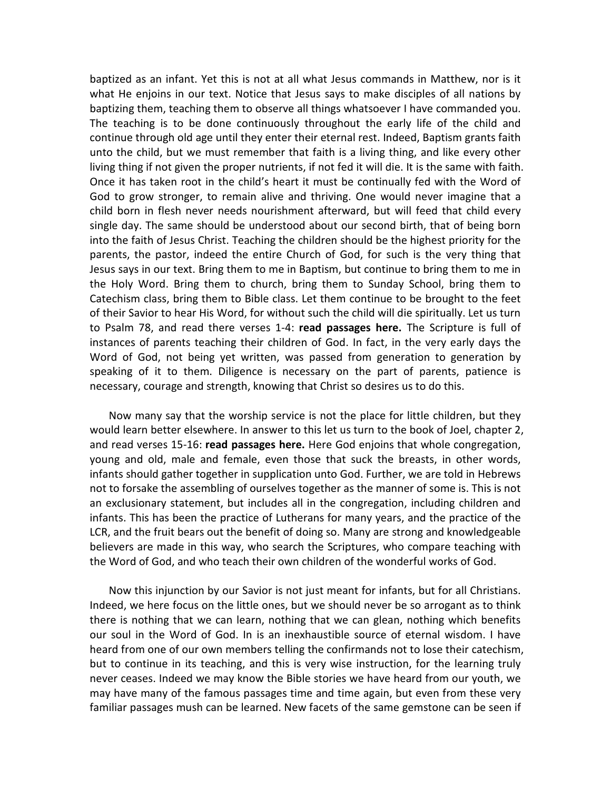baptized as an infant. Yet this is not at all what Jesus commands in Matthew, nor is it what He enjoins in our text. Notice that Jesus says to make disciples of all nations by baptizing them, teaching them to observe all things whatsoever I have commanded you. The teaching is to be done continuously throughout the early life of the child and continue through old age until they enter their eternal rest. Indeed, Baptism grants faith unto the child, but we must remember that faith is a living thing, and like every other living thing if not given the proper nutrients, if not fed it will die. It is the same with faith. Once it has taken root in the child's heart it must be continually fed with the Word of God to grow stronger, to remain alive and thriving. One would never imagine that a child born in flesh never needs nourishment afterward, but will feed that child every single day. The same should be understood about our second birth, that of being born into the faith of Jesus Christ. Teaching the children should be the highest priority for the parents, the pastor, indeed the entire Church of God, for such is the very thing that Jesus says in our text. Bring them to me in Baptism, but continue to bring them to me in the Holy Word. Bring them to church, bring them to Sunday School, bring them to Catechism class, bring them to Bible class. Let them continue to be brought to the feet of their Savior to hear His Word, for without such the child will die spiritually. Let us turn to Psalm 78, and read there verses 1-4: **read passages here.** The Scripture is full of instances of parents teaching their children of God. In fact, in the very early days the Word of God, not being yet written, was passed from generation to generation by speaking of it to them. Diligence is necessary on the part of parents, patience is necessary, courage and strength, knowing that Christ so desires us to do this.

Now many say that the worship service is not the place for little children, but they would learn better elsewhere. In answer to this let us turn to the book of Joel, chapter 2, and read verses 15-16: **read passages here.** Here God enjoins that whole congregation, young and old, male and female, even those that suck the breasts, in other words, infants should gather together in supplication unto God. Further, we are told in Hebrews not to forsake the assembling of ourselves together as the manner of some is. This is not an exclusionary statement, but includes all in the congregation, including children and infants. This has been the practice of Lutherans for many years, and the practice of the LCR, and the fruit bears out the benefit of doing so. Many are strong and knowledgeable believers are made in this way, who search the Scriptures, who compare teaching with the Word of God, and who teach their own children of the wonderful works of God.

 Now this injunction by our Savior is not just meant for infants, but for all Christians. Indeed, we here focus on the little ones, but we should never be so arrogant as to think there is nothing that we can learn, nothing that we can glean, nothing which benefits our soul in the Word of God. In is an inexhaustible source of eternal wisdom. I have heard from one of our own members telling the confirmands not to lose their catechism, but to continue in its teaching, and this is very wise instruction, for the learning truly never ceases. Indeed we may know the Bible stories we have heard from our youth, we may have many of the famous passages time and time again, but even from these very familiar passages mush can be learned. New facets of the same gemstone can be seen if